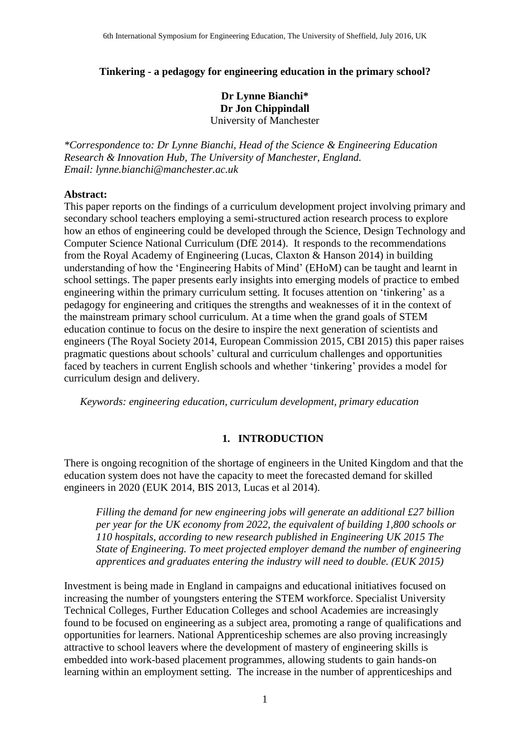### **Tinkering - a pedagogy for engineering education in the primary school?**

## **Dr Lynne Bianchi\* Dr Jon Chippindall** University of Manchester

*\*Correspondence to: Dr Lynne Bianchi, Head of the Science & Engineering Education Research & Innovation Hub, The University of Manchester, England. Email: lynne.bianchi@manchester.ac.uk*

### **Abstract:**

This paper reports on the findings of a curriculum development project involving primary and secondary school teachers employing a semi-structured action research process to explore how an ethos of engineering could be developed through the Science, Design Technology and Computer Science National Curriculum (DfE 2014). It responds to the recommendations from the Royal Academy of Engineering (Lucas, Claxton & Hanson 2014) in building understanding of how the 'Engineering Habits of Mind' (EHoM) can be taught and learnt in school settings. The paper presents early insights into emerging models of practice to embed engineering within the primary curriculum setting. It focuses attention on 'tinkering' as a pedagogy for engineering and critiques the strengths and weaknesses of it in the context of the mainstream primary school curriculum. At a time when the grand goals of STEM education continue to focus on the desire to inspire the next generation of scientists and engineers (The Royal Society 2014, European Commission 2015, CBI 2015) this paper raises pragmatic questions about schools' cultural and curriculum challenges and opportunities faced by teachers in current English schools and whether 'tinkering' provides a model for curriculum design and delivery.

*Keywords: engineering education, curriculum development, primary education*

## **1. INTRODUCTION**

There is ongoing recognition of the shortage of engineers in the United Kingdom and that the education system does not have the capacity to meet the forecasted demand for skilled engineers in 2020 (EUK 2014, BIS 2013, Lucas et al 2014).

*Filling the demand for new engineering jobs will generate an additional £27 billion per year for the UK economy from 2022, the equivalent of building 1,800 schools or 110 hospitals, according to new research published in Engineering UK 2015 The State of Engineering. To meet projected employer demand the number of engineering apprentices and graduates entering the industry will need to double. (EUK 2015)* 

Investment is being made in England in campaigns and educational initiatives focused on increasing the number of youngsters entering the STEM workforce. Specialist University Technical Colleges, Further Education Colleges and school Academies are increasingly found to be focused on engineering as a subject area, promoting a range of qualifications and opportunities for learners. National Apprenticeship schemes are also proving increasingly attractive to school leavers where the development of mastery of engineering skills is embedded into work-based placement programmes, allowing students to gain hands-on learning within an employment setting. The increase in the number of apprenticeships and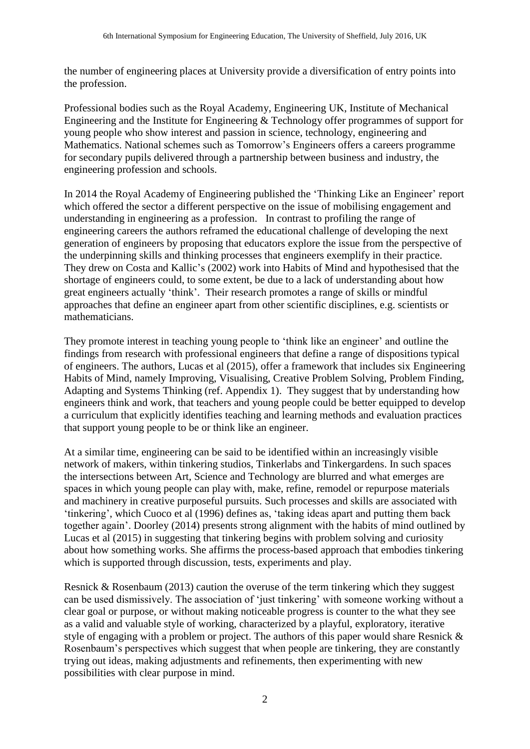the number of engineering places at University provide a diversification of entry points into the profession.

Professional bodies such as the Royal Academy, Engineering UK, Institute of Mechanical Engineering and the Institute for Engineering & Technology offer programmes of support for young people who show interest and passion in science, technology, engineering and Mathematics. National schemes such as Tomorrow's Engineers offers a careers programme for secondary pupils delivered through a partnership between business and industry, the engineering profession and schools.

In 2014 the Royal Academy of Engineering published the 'Thinking Like an Engineer' report which offered the sector a different perspective on the issue of mobilising engagement and understanding in engineering as a profession. In contrast to profiling the range of engineering careers the authors reframed the educational challenge of developing the next generation of engineers by proposing that educators explore the issue from the perspective of the underpinning skills and thinking processes that engineers exemplify in their practice. They drew on Costa and Kallic's (2002) work into Habits of Mind and hypothesised that the shortage of engineers could, to some extent, be due to a lack of understanding about how great engineers actually 'think'. Their research promotes a range of skills or mindful approaches that define an engineer apart from other scientific disciplines, e.g. scientists or mathematicians.

They promote interest in teaching young people to 'think like an engineer' and outline the findings from research with professional engineers that define a range of dispositions typical of engineers. The authors, Lucas et al (2015), offer a framework that includes six Engineering Habits of Mind, namely Improving, Visualising, Creative Problem Solving, Problem Finding, Adapting and Systems Thinking (ref. Appendix 1). They suggest that by understanding how engineers think and work, that teachers and young people could be better equipped to develop a curriculum that explicitly identifies teaching and learning methods and evaluation practices that support young people to be or think like an engineer.

At a similar time, engineering can be said to be identified within an increasingly visible network of makers, within tinkering studios, Tinkerlabs and Tinkergardens. In such spaces the intersections between Art, Science and Technology are blurred and what emerges are spaces in which young people can play with, make, refine, remodel or repurpose materials and machinery in creative purposeful pursuits. Such processes and skills are associated with 'tinkering', which Cuoco et al (1996) defines as, 'taking ideas apart and putting them back together again'. Doorley (2014) presents strong alignment with the habits of mind outlined by Lucas et al (2015) in suggesting that tinkering begins with problem solving and curiosity about how something works. She affirms the process-based approach that embodies tinkering which is supported through discussion, tests, experiments and play.

Resnick & Rosenbaum (2013) caution the overuse of the term tinkering which they suggest can be used dismissively. The association of 'just tinkering' with someone working without a clear goal or purpose, or without making noticeable progress is counter to the what they see as a valid and valuable style of working, characterized by a playful, exploratory, iterative style of engaging with a problem or project. The authors of this paper would share Resnick & Rosenbaum's perspectives which suggest that when people are tinkering, they are constantly trying out ideas, making adjustments and refinements, then experimenting with new possibilities with clear purpose in mind.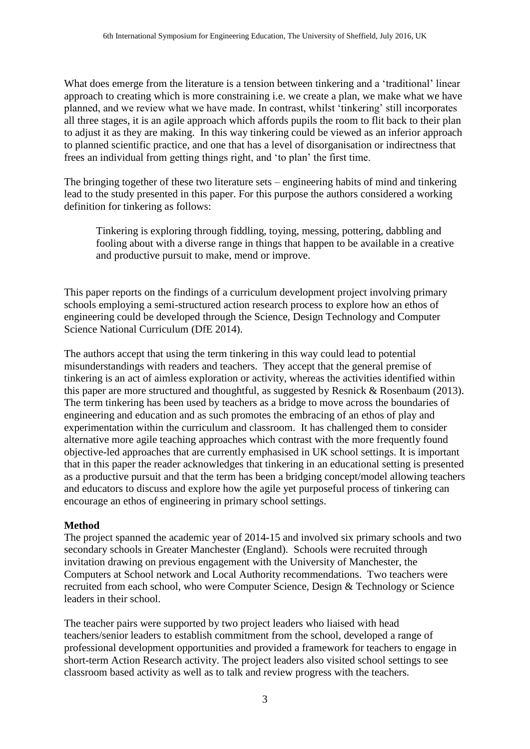What does emerge from the literature is a tension between tinkering and a 'traditional' linear approach to creating which is more constraining i.e. we create a plan, we make what we have planned, and we review what we have made. In contrast, whilst 'tinkering' still incorporates all three stages, it is an agile approach which affords pupils the room to flit back to their plan to adjust it as they are making. In this way tinkering could be viewed as an inferior approach to planned scientific practice, and one that has a level of disorganisation or indirectness that frees an individual from getting things right, and 'to plan' the first time.

The bringing together of these two literature sets – engineering habits of mind and tinkering lead to the study presented in this paper. For this purpose the authors considered a working definition for tinkering as follows:

Tinkering is exploring through fiddling, toying, messing, pottering, dabbling and fooling about with a diverse range in things that happen to be available in a creative and productive pursuit to make, mend or improve.

This paper reports on the findings of a curriculum development project involving primary schools employing a semi-structured action research process to explore how an ethos of engineering could be developed through the Science, Design Technology and Computer Science National Curriculum (DfE 2014).

The authors accept that using the term tinkering in this way could lead to potential misunderstandings with readers and teachers. They accept that the general premise of tinkering is an act of aimless exploration or activity, whereas the activities identified within this paper are more structured and thoughtful, as suggested by Resnick & Rosenbaum (2013). The term tinkering has been used by teachers as a bridge to move across the boundaries of engineering and education and as such promotes the embracing of an ethos of play and experimentation within the curriculum and classroom. It has challenged them to consider alternative more agile teaching approaches which contrast with the more frequently found objective-led approaches that are currently emphasised in UK school settings. It is important that in this paper the reader acknowledges that tinkering in an educational setting is presented as a productive pursuit and that the term has been a bridging concept/model allowing teachers and educators to discuss and explore how the agile yet purposeful process of tinkering can encourage an ethos of engineering in primary school settings.

## **Method**

The project spanned the academic year of 2014-15 and involved six primary schools and two secondary schools in Greater Manchester (England). Schools were recruited through invitation drawing on previous engagement with the University of Manchester, the Computers at School network and Local Authority recommendations. Two teachers were recruited from each school, who were Computer Science, Design & Technology or Science leaders in their school.

The teacher pairs were supported by two project leaders who liaised with head teachers/senior leaders to establish commitment from the school, developed a range of professional development opportunities and provided a framework for teachers to engage in short-term Action Research activity. The project leaders also visited school settings to see classroom based activity as well as to talk and review progress with the teachers.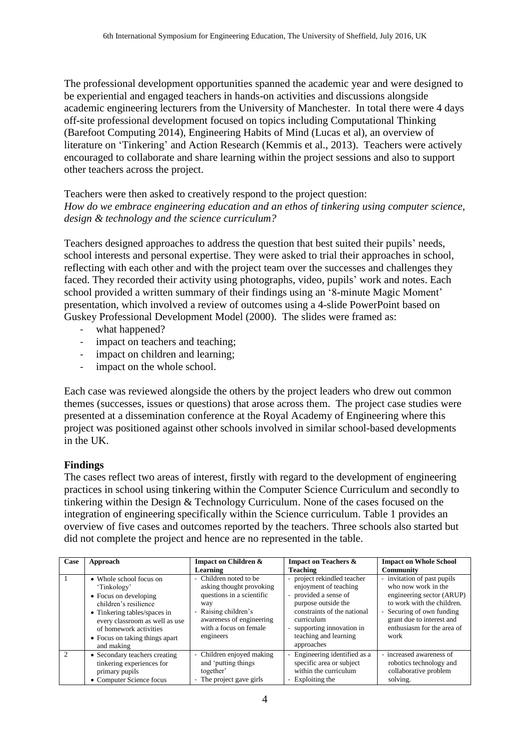The professional development opportunities spanned the academic year and were designed to be experiential and engaged teachers in hands-on activities and discussions alongside academic engineering lecturers from the University of Manchester. In total there were 4 days off-site professional development focused on topics including Computational Thinking (Barefoot Computing 2014), Engineering Habits of Mind (Lucas et al), an overview of literature on 'Tinkering' and Action Research (Kemmis et al., 2013). Teachers were actively encouraged to collaborate and share learning within the project sessions and also to support other teachers across the project.

Teachers were then asked to creatively respond to the project question: *How do we embrace engineering education and an ethos of tinkering using computer science, design & technology and the science curriculum?*

Teachers designed approaches to address the question that best suited their pupils' needs, school interests and personal expertise. They were asked to trial their approaches in school, reflecting with each other and with the project team over the successes and challenges they faced. They recorded their activity using photographs, video, pupils' work and notes. Each school provided a written summary of their findings using an '8-minute Magic Moment' presentation, which involved a review of outcomes using a 4-slide PowerPoint based on Guskey Professional Development Model (2000). The slides were framed as:

- what happened?
- impact on teachers and teaching;
- impact on children and learning;
- impact on the whole school.

Each case was reviewed alongside the others by the project leaders who drew out common themes (successes, issues or questions) that arose across them. The project case studies were presented at a dissemination conference at the Royal Academy of Engineering where this project was positioned against other schools involved in similar school-based developments in the UK.

## **Findings**

The cases reflect two areas of interest, firstly with regard to the development of engineering practices in school using tinkering within the Computer Science Curriculum and secondly to tinkering within the Design & Technology Curriculum. None of the cases focused on the integration of engineering specifically within the Science curriculum. Table 1 provides an overview of five cases and outcomes reported by the teachers. Three schools also started but did not complete the project and hence are no represented in the table.

| Case          | Approach                                                                                                                                                                                                                             | Impact on Children &                                                                                                                                                              | Impact on Teachers &                                                                                                                                                                                               | <b>Impact on Whole School</b>                                                                                                                                                                                 |
|---------------|--------------------------------------------------------------------------------------------------------------------------------------------------------------------------------------------------------------------------------------|-----------------------------------------------------------------------------------------------------------------------------------------------------------------------------------|--------------------------------------------------------------------------------------------------------------------------------------------------------------------------------------------------------------------|---------------------------------------------------------------------------------------------------------------------------------------------------------------------------------------------------------------|
|               |                                                                                                                                                                                                                                      | Learning                                                                                                                                                                          | <b>Teaching</b>                                                                                                                                                                                                    | <b>Community</b>                                                                                                                                                                                              |
|               | • Whole school focus on<br>'Tinkology'<br>• Focus on developing<br>children's resilience<br>• Tinkering tables/spaces in<br>every classroom as well as use<br>of homework activities<br>• Focus on taking things apart<br>and making | - Children noted to be<br>asking thought provoking<br>questions in a scientific<br>way<br>- Raising children's<br>awareness of engineering<br>with a focus on female<br>engineers | project rekindled teacher<br>enjoyment of teaching<br>provided a sense of<br>purpose outside the<br>constraints of the national<br>curriculum<br>- supporting innovation in<br>teaching and learning<br>approaches | - invitation of past pupils<br>who now work in the<br>engineering sector (ARUP)<br>to work with the children.<br>- Securing of own funding<br>grant due to interest and<br>enthusiasm for the area of<br>work |
| $\mathcal{D}$ | • Secondary teachers creating<br>tinkering experiences for<br>primary pupils<br>• Computer Science focus                                                                                                                             | - Children enjoyed making<br>and 'putting things<br>together'<br>- The project gave girls                                                                                         | Engineering identified as a<br>specific area or subject<br>within the curriculum<br>Exploiting the<br>$\overline{\phantom{a}}$                                                                                     | - increased awareness of<br>robotics technology and<br>collaborative problem<br>solving.                                                                                                                      |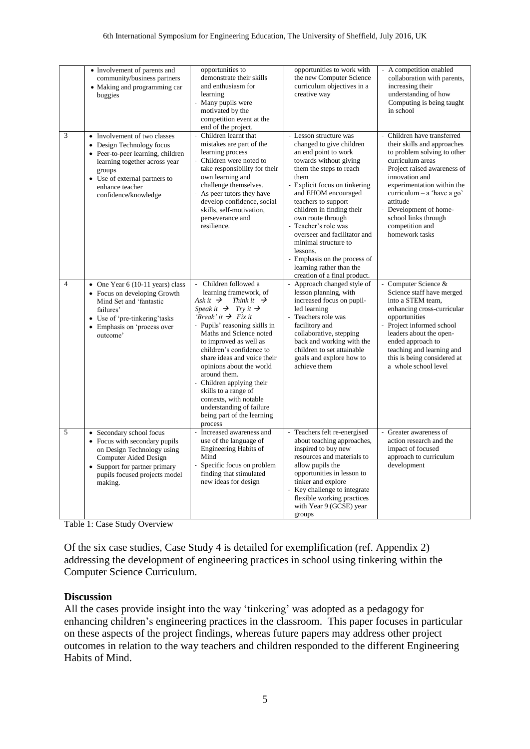|                | • Involvement of parents and<br>community/business partners<br>• Making and programming car<br>buggies                                                                                                                | opportunities to<br>demonstrate their skills<br>and enthusiasm for<br>learning<br>Many pupils were<br>$\frac{1}{2}$<br>motivated by the<br>competition event at the<br>end of the project.                                                                                                                                                                                                                                                                                                                                    | opportunities to work with<br>the new Computer Science<br>curriculum objectives in a<br>creative way                                                                                                                                                                                                                                                                                                                                                       | - A competition enabled<br>collaboration with parents,<br>increasing their<br>understanding of how<br>Computing is being taught<br>in school                                                                                                                                                                                                                        |
|----------------|-----------------------------------------------------------------------------------------------------------------------------------------------------------------------------------------------------------------------|-------------------------------------------------------------------------------------------------------------------------------------------------------------------------------------------------------------------------------------------------------------------------------------------------------------------------------------------------------------------------------------------------------------------------------------------------------------------------------------------------------------------------------|------------------------------------------------------------------------------------------------------------------------------------------------------------------------------------------------------------------------------------------------------------------------------------------------------------------------------------------------------------------------------------------------------------------------------------------------------------|---------------------------------------------------------------------------------------------------------------------------------------------------------------------------------------------------------------------------------------------------------------------------------------------------------------------------------------------------------------------|
| 3              | • Involvement of two classes<br>• Design Technology focus<br>• Peer-to-peer learning, children<br>learning together across year<br>groups<br>• Use of external partners to<br>enhance teacher<br>confidence/knowledge | Children learnt that<br>$\overline{\phantom{a}}$<br>mistakes are part of the<br>learning process<br>Children were noted to<br>$\overline{\phantom{a}}$<br>take responsibility for their<br>own learning and<br>challenge themselves.<br>- As peer tutors they have<br>develop confidence, social<br>skills, self-motivation,<br>perseverance and<br>resilience.                                                                                                                                                               | Lesson structure was<br>changed to give children<br>an end point to work<br>towards without giving<br>them the steps to reach<br>them<br>Explicit focus on tinkering<br>and EHOM encouraged<br>teachers to support<br>children in finding their<br>own route through<br>Teacher's role was<br>overseer and facilitator and<br>minimal structure to<br>lessons.<br>- Emphasis on the process of<br>learning rather than the<br>creation of a final product. | Children have transferred<br>$\overline{\phantom{a}}$<br>their skills and approaches<br>to problem solving to other<br>curriculum areas<br>- Project raised awareness of<br>innovation and<br>experimentation within the<br>curriculum $-$ a 'have a go'<br>attitude<br>Development of home-<br>$\Box$<br>school links through<br>competition and<br>homework tasks |
| $\overline{4}$ | • One Year 6 (10-11 years) class<br>• Focus on developing Growth<br>Mind Set and 'fantastic<br>failures'<br>• Use of 'pre-tinkering' tasks<br>Emphasis on 'process over<br>$\bullet$<br>outcome'                      | Children followed a<br>learning framework, of<br>Ask it $\rightarrow$ Think it $\rightarrow$<br>Speak it $\rightarrow$ Try it $\rightarrow$<br>'Break' it $\rightarrow$ Fix it<br>- Pupils' reasoning skills in<br>Maths and Science noted<br>to improved as well as<br>children's confidence to<br>share ideas and voice their<br>opinions about the world<br>around them.<br>Children applying their<br>skills to a range of<br>contexts, with notable<br>understanding of failure<br>being part of the learning<br>process | Approach changed style of<br>lesson planning, with<br>increased focus on pupil-<br>led learning<br>Teachers role was<br>facilitory and<br>collaborative, stepping<br>back and working with the<br>children to set attainable<br>goals and explore how to<br>achieve them                                                                                                                                                                                   | - Computer Science &<br>Science staff have merged<br>into a STEM team,<br>enhancing cross-curricular<br>opportunities<br>Project informed school<br>leaders about the open-<br>ended approach to<br>teaching and learning and<br>this is being considered at<br>a whole school level                                                                                |
| 5              | • Secondary school focus<br>• Focus with secondary pupils<br>on Design Technology using<br>Computer Aided Design<br>• Support for partner primary<br>pupils focused projects model<br>making.                         | Increased awareness and<br>use of the language of<br><b>Engineering Habits of</b><br>Mind<br>Specific focus on problem<br>$\overline{a}$<br>finding that stimulated<br>new ideas for design                                                                                                                                                                                                                                                                                                                                   | Teachers felt re-energised<br>about teaching approaches,<br>inspired to buy new<br>resources and materials to<br>allow pupils the<br>opportunities in lesson to<br>tinker and explore<br>Key challenge to integrate<br>flexible working practices<br>with Year 9 (GCSE) year<br>groups                                                                                                                                                                     | Greater awareness of<br>action research and the<br>impact of focused<br>approach to curriculum<br>development                                                                                                                                                                                                                                                       |

Table 1: Case Study Overview

Of the six case studies, Case Study 4 is detailed for exemplification (ref. Appendix 2) addressing the development of engineering practices in school using tinkering within the Computer Science Curriculum.

## **Discussion**

All the cases provide insight into the way 'tinkering' was adopted as a pedagogy for enhancing children's engineering practices in the classroom. This paper focuses in particular on these aspects of the project findings, whereas future papers may address other project outcomes in relation to the way teachers and children responded to the different Engineering Habits of Mind.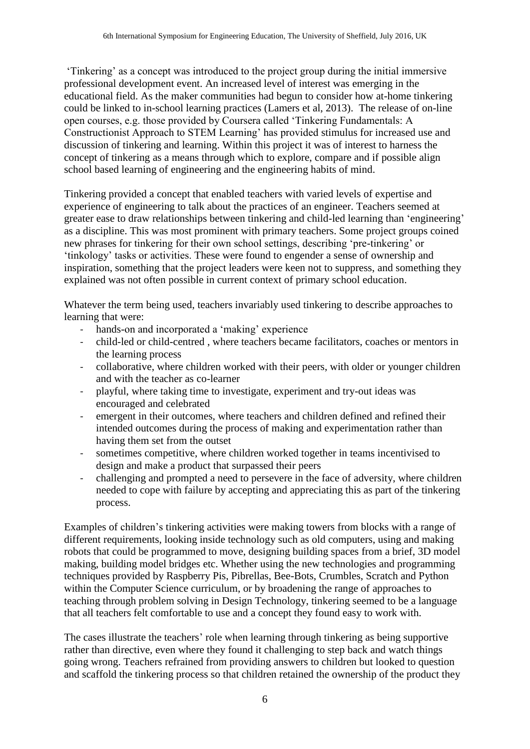'Tinkering' as a concept was introduced to the project group during the initial immersive professional development event. An increased level of interest was emerging in the educational field. As the maker communities had begun to consider how at-home tinkering could be linked to in-school learning practices (Lamers et al, 2013). The release of on-line open courses, e.g. those provided by Coursera called 'Tinkering Fundamentals: A Constructionist Approach to STEM Learning' has provided stimulus for increased use and discussion of tinkering and learning. Within this project it was of interest to harness the concept of tinkering as a means through which to explore, compare and if possible align school based learning of engineering and the engineering habits of mind.

Tinkering provided a concept that enabled teachers with varied levels of expertise and experience of engineering to talk about the practices of an engineer. Teachers seemed at greater ease to draw relationships between tinkering and child-led learning than 'engineering' as a discipline. This was most prominent with primary teachers. Some project groups coined new phrases for tinkering for their own school settings, describing 'pre-tinkering' or 'tinkology' tasks or activities. These were found to engender a sense of ownership and inspiration, something that the project leaders were keen not to suppress, and something they explained was not often possible in current context of primary school education.

Whatever the term being used, teachers invariably used tinkering to describe approaches to learning that were:

- hands-on and incorporated a 'making' experience
- child-led or child-centred , where teachers became facilitators, coaches or mentors in the learning process
- collaborative, where children worked with their peers, with older or younger children and with the teacher as co-learner
- playful, where taking time to investigate, experiment and try-out ideas was encouraged and celebrated
- emergent in their outcomes, where teachers and children defined and refined their intended outcomes during the process of making and experimentation rather than having them set from the outset
- sometimes competitive, where children worked together in teams incentivised to design and make a product that surpassed their peers
- challenging and prompted a need to persevere in the face of adversity, where children needed to cope with failure by accepting and appreciating this as part of the tinkering process.

Examples of children's tinkering activities were making towers from blocks with a range of different requirements, looking inside technology such as old computers, using and making robots that could be programmed to move, designing building spaces from a brief, 3D model making, building model bridges etc. Whether using the new technologies and programming techniques provided by Raspberry Pis, Pibrellas, Bee-Bots, Crumbles, Scratch and Python within the Computer Science curriculum, or by broadening the range of approaches to teaching through problem solving in Design Technology, tinkering seemed to be a language that all teachers felt comfortable to use and a concept they found easy to work with.

The cases illustrate the teachers' role when learning through tinkering as being supportive rather than directive, even where they found it challenging to step back and watch things going wrong. Teachers refrained from providing answers to children but looked to question and scaffold the tinkering process so that children retained the ownership of the product they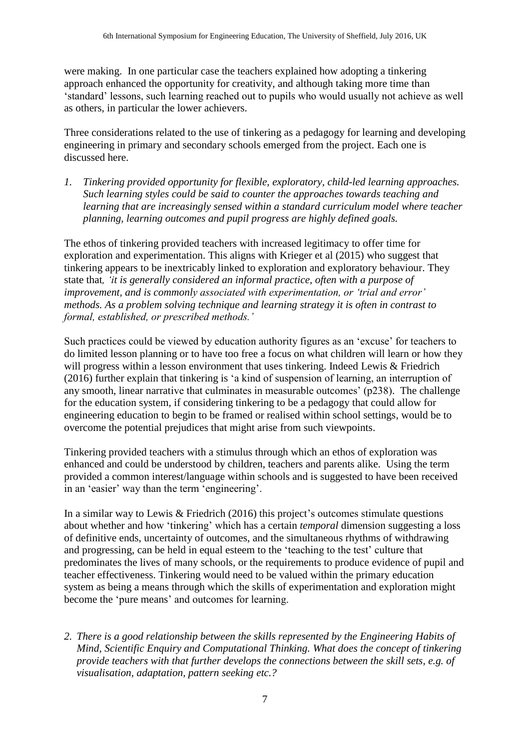were making. In one particular case the teachers explained how adopting a tinkering approach enhanced the opportunity for creativity, and although taking more time than 'standard' lessons, such learning reached out to pupils who would usually not achieve as well as others, in particular the lower achievers.

Three considerations related to the use of tinkering as a pedagogy for learning and developing engineering in primary and secondary schools emerged from the project. Each one is discussed here.

*1. Tinkering provided opportunity for flexible, exploratory, child-led learning approaches. Such learning styles could be said to counter the approaches towards teaching and learning that are increasingly sensed within a standard curriculum model where teacher planning, learning outcomes and pupil progress are highly defined goals.* 

The ethos of tinkering provided teachers with increased legitimacy to offer time for exploration and experimentation. This aligns with Krieger et al (2015) who suggest that tinkering appears to be inextricably linked to exploration and exploratory behaviour. They state that*, 'it is generally considered an informal practice, often with a purpose of improvement, and is commonly associated with experimentation, or 'trial and error' methods. As a problem solving technique and learning strategy it is often in contrast to formal, established, or prescribed methods.'* 

Such practices could be viewed by education authority figures as an 'excuse' for teachers to do limited lesson planning or to have too free a focus on what children will learn or how they will progress within a lesson environment that uses tinkering. Indeed Lewis & Friedrich (2016) further explain that tinkering is 'a kind of suspension of learning, an interruption of any smooth, linear narrative that culminates in measurable outcomes' (p238). The challenge for the education system, if considering tinkering to be a pedagogy that could allow for engineering education to begin to be framed or realised within school settings, would be to overcome the potential prejudices that might arise from such viewpoints.

Tinkering provided teachers with a stimulus through which an ethos of exploration was enhanced and could be understood by children, teachers and parents alike. Using the term provided a common interest/language within schools and is suggested to have been received in an 'easier' way than the term 'engineering'.

In a similar way to Lewis & Friedrich (2016) this project's outcomes stimulate questions about whether and how 'tinkering' which has a certain *temporal* dimension suggesting a loss of definitive ends, uncertainty of outcomes, and the simultaneous rhythms of withdrawing and progressing, can be held in equal esteem to the 'teaching to the test' culture that predominates the lives of many schools, or the requirements to produce evidence of pupil and teacher effectiveness. Tinkering would need to be valued within the primary education system as being a means through which the skills of experimentation and exploration might become the 'pure means' and outcomes for learning.

*2. There is a good relationship between the skills represented by the Engineering Habits of Mind, Scientific Enquiry and Computational Thinking. What does the concept of tinkering provide teachers with that further develops the connections between the skill sets, e.g. of visualisation, adaptation, pattern seeking etc.?*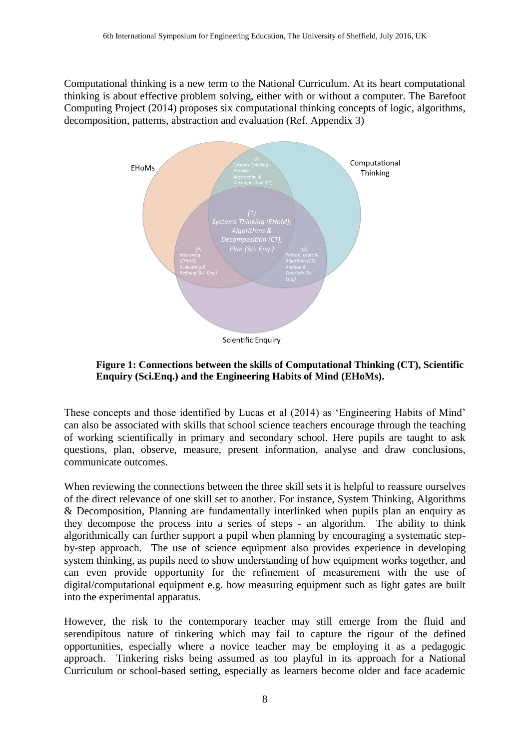Computational thinking is a new term to the National Curriculum. At its heart computational thinking is about effective problem solving, either with or without a computer. The Barefoot Computing Project (2014) proposes six computational thinking concepts of logic, algorithms, decomposition, patterns, abstraction and evaluation (Ref. Appendix 3)



**Figure 1: Connections between the skills of Computational Thinking (CT), Scientific Enquiry (Sci.Enq.) and the Engineering Habits of Mind (EHoMs).**

These concepts and those identified by Lucas et al (2014) as 'Engineering Habits of Mind' can also be associated with skills that school science teachers encourage through the teaching of working scientifically in primary and secondary school. Here pupils are taught to ask questions, plan, observe, measure, present information, analyse and draw conclusions, communicate outcomes.

When reviewing the connections between the three skill sets it is helpful to reassure ourselves of the direct relevance of one skill set to another. For instance, System Thinking, Algorithms & Decomposition, Planning are fundamentally interlinked when pupils plan an enquiry as they decompose the process into a series of steps - an algorithm. The ability to think algorithmically can further support a pupil when planning by encouraging a systematic stepby-step approach. The use of science equipment also provides experience in developing system thinking, as pupils need to show understanding of how equipment works together, and can even provide opportunity for the refinement of measurement with the use of digital/computational equipment e.g. how measuring equipment such as light gates are built into the experimental apparatus.

However, the risk to the contemporary teacher may still emerge from the fluid and serendipitous nature of tinkering which may fail to capture the rigour of the defined opportunities, especially where a novice teacher may be employing it as a pedagogic approach. Tinkering risks being assumed as too playful in its approach for a National Curriculum or school-based setting, especially as learners become older and face academic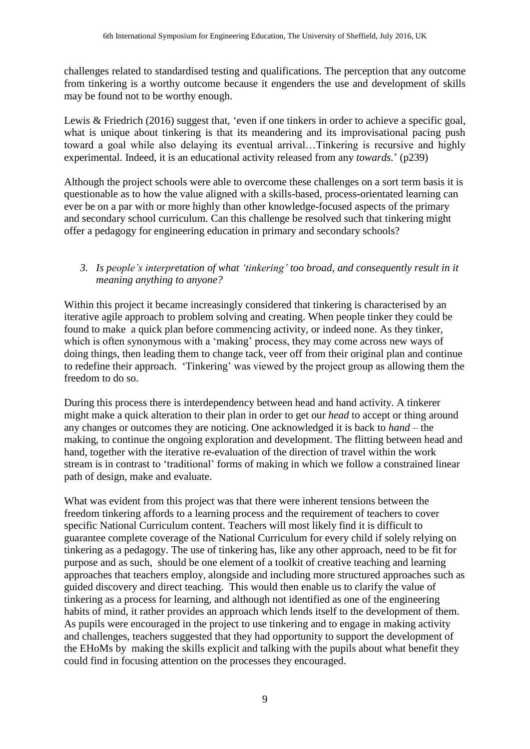challenges related to standardised testing and qualifications. The perception that any outcome from tinkering is a worthy outcome because it engenders the use and development of skills may be found not to be worthy enough.

Lewis & Friedrich (2016) suggest that, 'even if one tinkers in order to achieve a specific goal, what is unique about tinkering is that its meandering and its improvisational pacing push toward a goal while also delaying its eventual arrival…Tinkering is recursive and highly experimental. Indeed, it is an educational activity released from any *towards.*' (p239)

Although the project schools were able to overcome these challenges on a sort term basis it is questionable as to how the value aligned with a skills-based, process-orientated learning can ever be on a par with or more highly than other knowledge-focused aspects of the primary and secondary school curriculum. Can this challenge be resolved such that tinkering might offer a pedagogy for engineering education in primary and secondary schools?

## *3. Is people's interpretation of what 'tinkering' too broad, and consequently result in it meaning anything to anyone?*

Within this project it became increasingly considered that tinkering is characterised by an iterative agile approach to problem solving and creating. When people tinker they could be found to make a quick plan before commencing activity, or indeed none. As they tinker, which is often synonymous with a 'making' process, they may come across new ways of doing things, then leading them to change tack, veer off from their original plan and continue to redefine their approach. 'Tinkering' was viewed by the project group as allowing them the freedom to do so.

During this process there is interdependency between head and hand activity. A tinkerer might make a quick alteration to their plan in order to get our *head* to accept or thing around any changes or outcomes they are noticing. One acknowledged it is back to *hand –* the making, to continue the ongoing exploration and development. The flitting between head and hand, together with the iterative re-evaluation of the direction of travel within the work stream is in contrast to 'traditional' forms of making in which we follow a constrained linear path of design, make and evaluate.

What was evident from this project was that there were inherent tensions between the freedom tinkering affords to a learning process and the requirement of teachers to cover specific National Curriculum content. Teachers will most likely find it is difficult to guarantee complete coverage of the National Curriculum for every child if solely relying on tinkering as a pedagogy. The use of tinkering has, like any other approach, need to be fit for purpose and as such, should be one element of a toolkit of creative teaching and learning approaches that teachers employ, alongside and including more structured approaches such as guided discovery and direct teaching. This would then enable us to clarify the value of tinkering as a process for learning, and although not identified as one of the engineering habits of mind, it rather provides an approach which lends itself to the development of them. As pupils were encouraged in the project to use tinkering and to engage in making activity and challenges, teachers suggested that they had opportunity to support the development of the EHoMs by making the skills explicit and talking with the pupils about what benefit they could find in focusing attention on the processes they encouraged.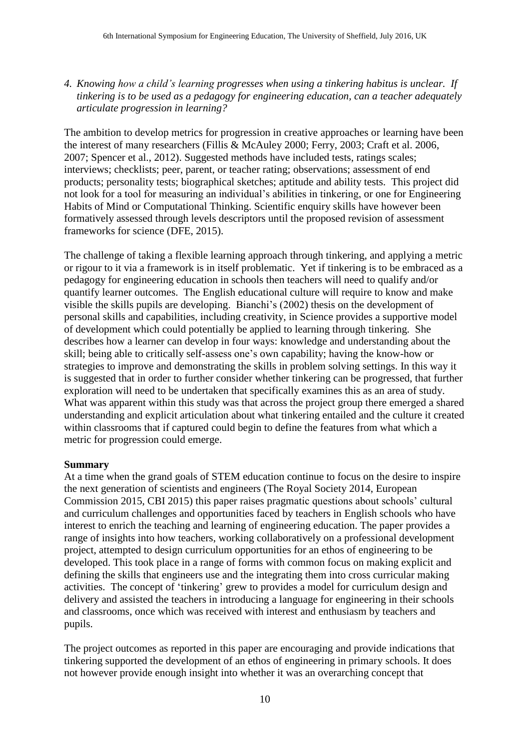*4. Knowing how a child's learning progresses when using a tinkering habitus is unclear. If tinkering is to be used as a pedagogy for engineering education, can a teacher adequately articulate progression in learning?* 

The ambition to develop metrics for progression in creative approaches or learning have been the interest of many researchers (Fillis & McAuley 2000; Ferry, 2003; Craft et al. 2006, 2007; Spencer et al., 2012). Suggested methods have included tests, ratings scales; interviews; checklists; peer, parent, or teacher rating; observations; assessment of end products; personality tests; biographical sketches; aptitude and ability tests. This project did not look for a tool for measuring an individual's abilities in tinkering, or one for Engineering Habits of Mind or Computational Thinking. Scientific enquiry skills have however been formatively assessed through levels descriptors until the proposed revision of assessment frameworks for science (DFE, 2015).

The challenge of taking a flexible learning approach through tinkering, and applying a metric or rigour to it via a framework is in itself problematic. Yet if tinkering is to be embraced as a pedagogy for engineering education in schools then teachers will need to qualify and/or quantify learner outcomes. The English educational culture will require to know and make visible the skills pupils are developing. Bianchi's (2002) thesis on the development of personal skills and capabilities, including creativity, in Science provides a supportive model of development which could potentially be applied to learning through tinkering. She describes how a learner can develop in four ways: knowledge and understanding about the skill; being able to critically self-assess one's own capability; having the know-how or strategies to improve and demonstrating the skills in problem solving settings. In this way it is suggested that in order to further consider whether tinkering can be progressed, that further exploration will need to be undertaken that specifically examines this as an area of study. What was apparent within this study was that across the project group there emerged a shared understanding and explicit articulation about what tinkering entailed and the culture it created within classrooms that if captured could begin to define the features from what which a metric for progression could emerge.

## **Summary**

At a time when the grand goals of STEM education continue to focus on the desire to inspire the next generation of scientists and engineers (The Royal Society 2014, European Commission 2015, CBI 2015) this paper raises pragmatic questions about schools' cultural and curriculum challenges and opportunities faced by teachers in English schools who have interest to enrich the teaching and learning of engineering education. The paper provides a range of insights into how teachers, working collaboratively on a professional development project, attempted to design curriculum opportunities for an ethos of engineering to be developed. This took place in a range of forms with common focus on making explicit and defining the skills that engineers use and the integrating them into cross curricular making activities. The concept of 'tinkering' grew to provides a model for curriculum design and delivery and assisted the teachers in introducing a language for engineering in their schools and classrooms, once which was received with interest and enthusiasm by teachers and pupils.

The project outcomes as reported in this paper are encouraging and provide indications that tinkering supported the development of an ethos of engineering in primary schools. It does not however provide enough insight into whether it was an overarching concept that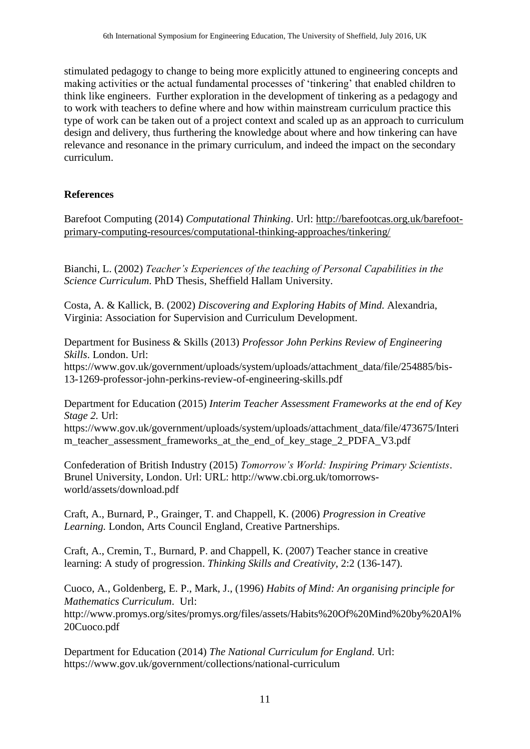stimulated pedagogy to change to being more explicitly attuned to engineering concepts and making activities or the actual fundamental processes of 'tinkering' that enabled children to think like engineers. Further exploration in the development of tinkering as a pedagogy and to work with teachers to define where and how within mainstream curriculum practice this type of work can be taken out of a project context and scaled up as an approach to curriculum design and delivery, thus furthering the knowledge about where and how tinkering can have relevance and resonance in the primary curriculum, and indeed the impact on the secondary curriculum.

# **References**

Barefoot Computing (2014) *Computational Thinking*. Url: [http://barefootcas.org.uk/barefoot](http://barefootcas.org.uk/barefoot-primary-computing-resources/computational-thinking-approaches/tinkering/)[primary-computing-resources/computational-thinking-approaches/tinkering/](http://barefootcas.org.uk/barefoot-primary-computing-resources/computational-thinking-approaches/tinkering/)

Bianchi, L. (2002) *Teacher's Experiences of the teaching of Personal Capabilities in the Science Curriculum*. PhD Thesis, Sheffield Hallam University.

Costa, A. & Kallick, B. (2002) *Discovering and Exploring Habits of Mind.* Alexandria, Virginia: Association for Supervision and Curriculum Development.

Department for Business & Skills (2013) *Professor John Perkins Review of Engineering Skills*. London. Url: [https://www.gov.uk/government/uploads/system/uploads/attachment\\_data/file/254885/bis-](https://www.gov.uk/government/uploads/system/uploads/attachment_data/file/254885/bis-13-1269-professor-john-perkins-review-of-engineering-skills.pdf)[13-1269-professor-john-perkins-review-of-engineering-skills.pdf](https://www.gov.uk/government/uploads/system/uploads/attachment_data/file/254885/bis-13-1269-professor-john-perkins-review-of-engineering-skills.pdf)

Department for Education (2015) *Interim Teacher Assessment Frameworks at the end of Key Stage 2.* Url: https://www.gov.uk/government/uploads/system/uploads/attachment\_data/file/473675/Interi m\_teacher\_assessment\_frameworks\_at\_the\_end\_of\_key\_stage\_2\_PDFA\_V3.pdf

Confederation of British Industry (2015) *Tomorrow's World: Inspiring Primary Scientists*. Brunel University, London. Url: URL: http://www.cbi.org.uk/tomorrowsworld/assets/download.pdf

Craft, A., Burnard, P., Grainger, T. and Chappell, K. (2006) *Progression in Creative Learning.* London, Arts Council England, Creative Partnerships.

Craft, A., Cremin, T., Burnard, P. and Chappell, K. (2007) Teacher stance in creative learning: A study of progression. *Thinking Skills and Creativity*, 2:2 (136-147).

Cuoco, A., Goldenberg, E. P., Mark, J., (1996) *Habits of Mind: An organising principle for Mathematics Curriculum*. Url: [http://www.promys.org/sites/promys.org/files/assets/Habits%20Of%20Mind%20by%20Al%](http://www.promys.org/sites/promys.org/files/assets/Habits%20Of%20Mind%20by%20Al%20Cuoco.pdf) [20Cuoco.pdf](http://www.promys.org/sites/promys.org/files/assets/Habits%20Of%20Mind%20by%20Al%20Cuoco.pdf)

Department for Education (2014) *The National Curriculum for England.* Url: <https://www.gov.uk/government/collections/national-curriculum>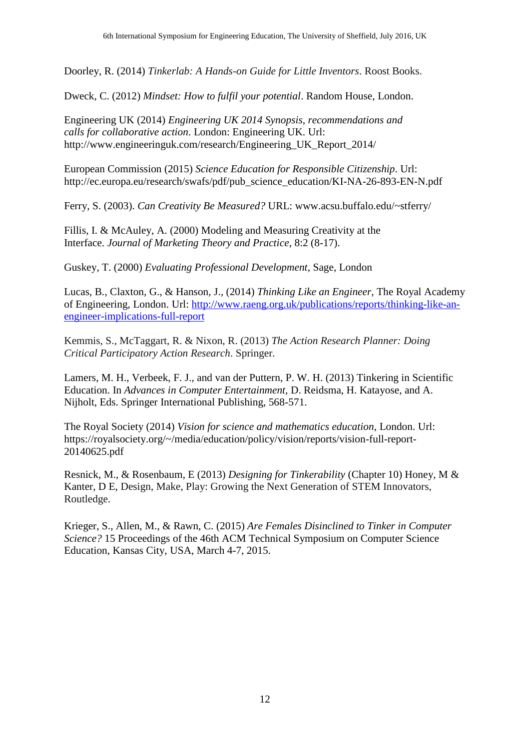Doorley, R. (2014) *Tinkerlab: A Hands-on Guide for Little Inventors*. Roost Books.

Dweck, C. (2012) *Mindset: How to fulfil your potential*. Random House, London.

Engineering UK (2014) *Engineering UK 2014 Synopsis, recommendations and calls for collaborative action*. London: Engineering UK. Url: [http://www.engineeringuk.com/research/Engineering\\_UK\\_Report\\_2014/](http://www.engineeringuk.com/research/Engineering_UK_Report_2014/)

European Commission (2015) *Science Education for Responsible Citizenship*. Url: [http://ec.europa.eu/research/swafs/pdf/pub\\_science\\_education/KI-NA-26-893-EN-N.pdf](http://ec.europa.eu/research/swafs/pdf/pub_science_education/KI-NA-26-893-EN-N.pdf)

Ferry, S. (2003). *Can Creativity Be Measured?* URL: www.acsu.buffalo.edu/~stferry/

Fillis, I. & McAuley, A. (2000) Modeling and Measuring Creativity at the Interface. *Journal of Marketing Theory and Practice*, 8:2 (8-17).

Guskey, T. (2000) *Evaluating Professional Development*, Sage, London

Lucas, B., Claxton, G., & Hanson, J., (2014) *Thinking Like an Engineer*, The Royal Academy of Engineering, London. Url: [http://www.raeng.org.uk/publications/reports/thinking-like-an](http://www.raeng.org.uk/publications/reports/thinking-like-an-engineer-implications-full-report)[engineer-implications-full-report](http://www.raeng.org.uk/publications/reports/thinking-like-an-engineer-implications-full-report)

Kemmis, S., McTaggart, R. & Nixon, R. (2013) *The Action Research Planner: Doing Critical Participatory Action Research*. Springer.

Lamers, M. H., Verbeek, F. J., and van der Puttern, P. W. H. (2013) Tinkering in Scientific Education. In *Advances in Computer Entertainment,* D. Reidsma, H. Katayose, and A. Nijholt, Eds. Springer International Publishing, 568-571.

The Royal Society (2014) *Vision for science and mathematics education*, London. Url: https://royalsociety.org/~/media/education/policy/vision/reports/vision-full-report-20140625.pdf

Resnick, M., & Rosenbaum, E (2013) *Designing for Tinkerability* (Chapter 10) Honey, M & Kanter, D E, Design, Make, Play: Growing the Next Generation of STEM Innovators, Routledge.

Krieger, S., Allen, M., & Rawn, C. (2015) *Are Females Disinclined to Tinker in Computer Science?* 15 Proceedings of the 46th ACM Technical Symposium on Computer Science Education, Kansas City, USA, March 4-7, 2015.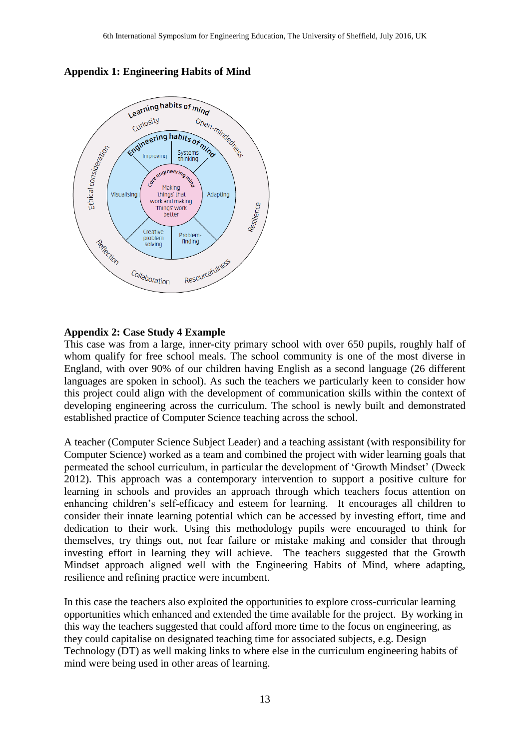

**Appendix 1: Engineering Habits of Mind**

### **Appendix 2: Case Study 4 Example**

This case was from a large, inner-city primary school with over 650 pupils, roughly half of whom qualify for free school meals. The school community is one of the most diverse in England, with over 90% of our children having English as a second language (26 different languages are spoken in school). As such the teachers we particularly keen to consider how this project could align with the development of communication skills within the context of developing engineering across the curriculum. The school is newly built and demonstrated established practice of Computer Science teaching across the school.

A teacher (Computer Science Subject Leader) and a teaching assistant (with responsibility for Computer Science) worked as a team and combined the project with wider learning goals that permeated the school curriculum, in particular the development of 'Growth Mindset' (Dweck 2012). This approach was a contemporary intervention to support a positive culture for learning in schools and provides an approach through which teachers focus attention on enhancing children's self-efficacy and esteem for learning. It encourages all children to consider their innate learning potential which can be accessed by investing effort, time and dedication to their work. Using this methodology pupils were encouraged to think for themselves, try things out, not fear failure or mistake making and consider that through investing effort in learning they will achieve. The teachers suggested that the Growth Mindset approach aligned well with the Engineering Habits of Mind, where adapting, resilience and refining practice were incumbent.

In this case the teachers also exploited the opportunities to explore cross-curricular learning opportunities which enhanced and extended the time available for the project. By working in this way the teachers suggested that could afford more time to the focus on engineering, as they could capitalise on designated teaching time for associated subjects, e.g. Design Technology (DT) as well making links to where else in the curriculum engineering habits of mind were being used in other areas of learning.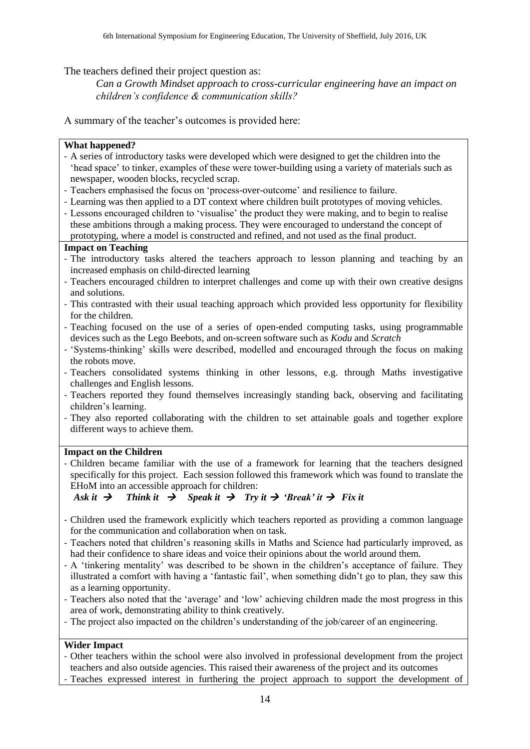The teachers defined their project question as:

*Can a Growth Mindset approach to cross-curricular engineering have an impact on children's confidence & communication skills?*

A summary of the teacher's outcomes is provided here:

### **What happened?**

- A series of introductory tasks were developed which were designed to get the children into the 'head space' to tinker, examples of these were tower-building using a variety of materials such as newspaper, wooden blocks, recycled scrap.
- Teachers emphasised the focus on 'process-over-outcome' and resilience to failure.
- Learning was then applied to a DT context where children built prototypes of moving vehicles.
- Lessons encouraged children to 'visualise' the product they were making, and to begin to realise these ambitions through a making process. They were encouraged to understand the concept of prototyping, where a model is constructed and refined, and not used as the final product.

### **Impact on Teaching**

- The introductory tasks altered the teachers approach to lesson planning and teaching by an increased emphasis on child-directed learning
- Teachers encouraged children to interpret challenges and come up with their own creative designs and solutions.
- This contrasted with their usual teaching approach which provided less opportunity for flexibility for the children.
- Teaching focused on the use of a series of open-ended computing tasks, using programmable devices such as the Lego Beebots, and on-screen software such as *Kodu* and *Scratch*
- 'Systems-thinking' skills were described, modelled and encouraged through the focus on making the robots move.
- Teachers consolidated systems thinking in other lessons, e.g. through Maths investigative challenges and English lessons.
- Teachers reported they found themselves increasingly standing back, observing and facilitating children's learning.
- They also reported collaborating with the children to set attainable goals and together explore different ways to achieve them.

### **Impact on the Children**

- Children became familiar with the use of a framework for learning that the teachers designed specifically for this project. Each session followed this framework which was found to translate the EHoM into an accessible approach for children:

# *Ask it*  $\rightarrow$  *Think it*  $\rightarrow$  *Speak it*  $\rightarrow$  *Try it*  $\rightarrow$  *'Break' it*  $\rightarrow$  *Fix it*

- Children used the framework explicitly which teachers reported as providing a common language for the communication and collaboration when on task.
- Teachers noted that children's reasoning skills in Maths and Science had particularly improved, as had their confidence to share ideas and voice their opinions about the world around them.
- A 'tinkering mentality' was described to be shown in the children's acceptance of failure. They illustrated a comfort with having a 'fantastic fail', when something didn't go to plan, they saw this as a learning opportunity.
- Teachers also noted that the 'average' and 'low' achieving children made the most progress in this area of work, demonstrating ability to think creatively.
- The project also impacted on the children's understanding of the job/career of an engineering.

### **Wider Impact**

- Other teachers within the school were also involved in professional development from the project teachers and also outside agencies. This raised their awareness of the project and its outcomes - Teaches expressed interest in furthering the project approach to support the development of